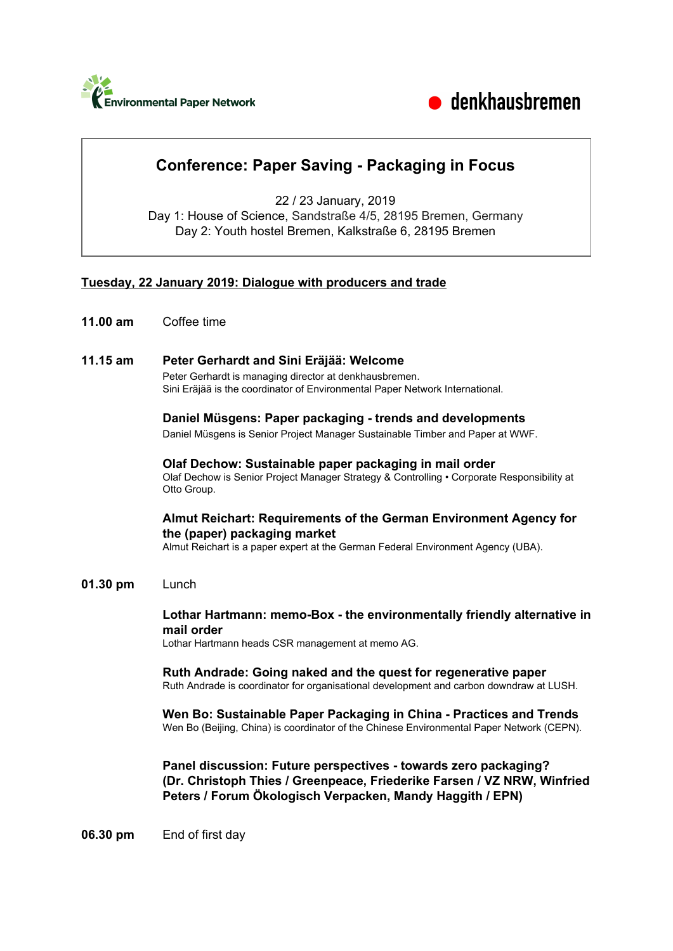



# **Conference: Paper Saving - Packaging in Focus**

22 / 23 January, 2019 Day 1: House of Science, Sandstraße 4/5, 28195 Bremen, Germany Day 2: Youth hostel Bremen, Kalkstraße 6, 28195 Bremen

## **Tuesday, 22 January 2019: Dialogue with producers and trade**

**11.00 am** Coffee time

## **11.15 am Peter Gerhardt and Sini Eräjää: Welcome**

Peter Gerhardt is managing director at denkhausbremen. Sini Eräjää is the coordinator of Environmental Paper Network International.

## **Daniel Müsgens: Paper packaging - trends and developments**

Daniel Müsgens is Senior Project Manager Sustainable Timber and Paper at WWF.

#### **Olaf Dechow: Sustainable paper packaging in mail order** Olaf Dechow is Senior Project Manager Strategy & Controlling • Corporate Responsibility at Otto Group.

## **Almut Reichart: Requirements of the German Environment Agency for the (paper) packaging market**

Almut Reichart is a paper expert at the German Federal Environment Agency (UBA).

## **01.30 pm** Lunch

**Lothar Hartmann: memo-Box - the environmentally friendly alternative in mail order**

Lothar Hartmann heads CSR management at memo AG.

#### **Ruth Andrade: Going naked and the quest for regenerative paper**

Ruth Andrade is coordinator for organisational development and carbon downdraw at LUSH.

#### **Wen Bo: Sustainable Paper Packaging in China - Practices and Trends** Wen Bo (Beijing, China) is coordinator of the Chinese Environmental Paper Network (CEPN).

**Panel discussion: Future perspectives - towards zero packaging? (Dr. Christoph Thies / Greenpeace, Friederike Farsen / VZ NRW, Winfried Peters / Forum Ökologisch Verpacken, Mandy Haggith / EPN)**

**06.30 pm** End of first day